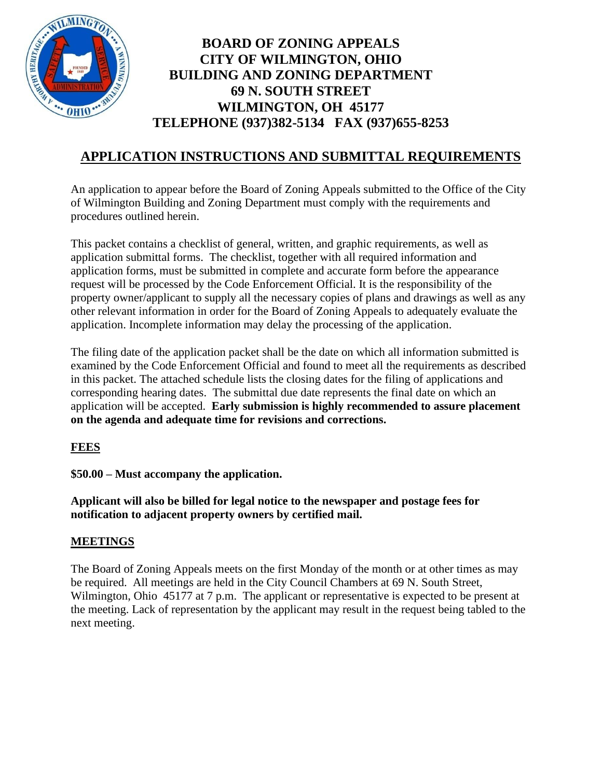

# **BOARD OF ZONING APPEALS CITY OF WILMINGTON, OHIO BUILDING AND ZONING DEPARTMENT 69 N. SOUTH STREET WILMINGTON, OH 45177 TELEPHONE (937)382-5134 FAX (937)655-8253**

# **APPLICATION INSTRUCTIONS AND SUBMITTAL REQUIREMENTS**

An application to appear before the Board of Zoning Appeals submitted to the Office of the City of Wilmington Building and Zoning Department must comply with the requirements and procedures outlined herein.

This packet contains a checklist of general, written, and graphic requirements, as well as application submittal forms. The checklist, together with all required information and application forms, must be submitted in complete and accurate form before the appearance request will be processed by the Code Enforcement Official. It is the responsibility of the property owner/applicant to supply all the necessary copies of plans and drawings as well as any other relevant information in order for the Board of Zoning Appeals to adequately evaluate the application. Incomplete information may delay the processing of the application.

The filing date of the application packet shall be the date on which all information submitted is examined by the Code Enforcement Official and found to meet all the requirements as described in this packet. The attached schedule lists the closing dates for the filing of applications and corresponding hearing dates. The submittal due date represents the final date on which an application will be accepted. **Early submission is highly recommended to assure placement on the agenda and adequate time for revisions and corrections.**

# **FEES**

**\$50.00 – Must accompany the application.** 

**Applicant will also be billed for legal notice to the newspaper and postage fees for notification to adjacent property owners by certified mail.**

### **MEETINGS**

The Board of Zoning Appeals meets on the first Monday of the month or at other times as may be required. All meetings are held in the City Council Chambers at 69 N. South Street, Wilmington, Ohio 45177 at 7 p.m. The applicant or representative is expected to be present at the meeting. Lack of representation by the applicant may result in the request being tabled to the next meeting.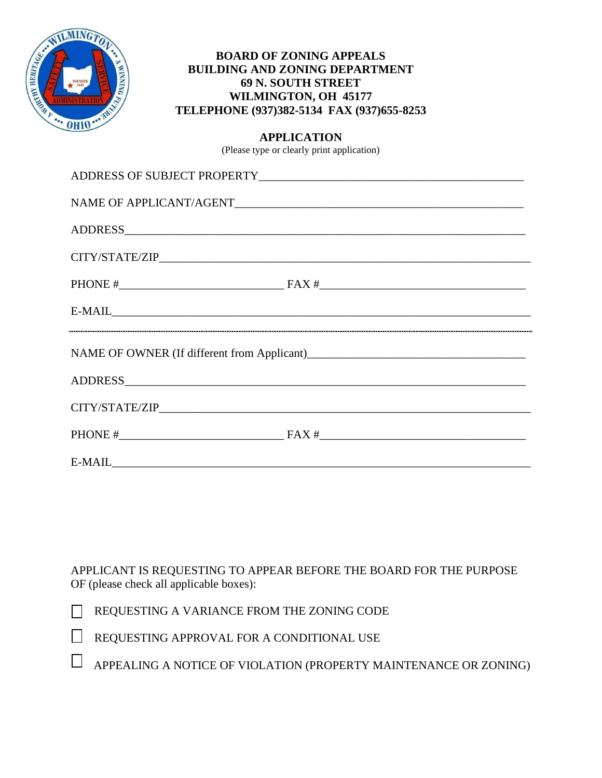

### **BOARD OF ZONING APPEALS BUILDING AND ZONING DEPARTMENT 69 N. SOUTH STREET WILMINGTON, OH 45177 TELEPHONE (937)382-5134 FAX (937)655-8253**

#### **APPLICATION**

(Please type or clearly print application)

| $\label{eq:nae} \begin{minipage}[c]{0.9\linewidth} \textbf{NAME OF APPLICATION} \end{minipage}$ |  |  |  |
|-------------------------------------------------------------------------------------------------|--|--|--|
|                                                                                                 |  |  |  |
|                                                                                                 |  |  |  |
|                                                                                                 |  |  |  |
| E-MAIL E-MAIL                                                                                   |  |  |  |
|                                                                                                 |  |  |  |
|                                                                                                 |  |  |  |
|                                                                                                 |  |  |  |
|                                                                                                 |  |  |  |
|                                                                                                 |  |  |  |

APPLICANT IS REQUESTING TO APPEAR BEFORE THE BOARD FOR THE PURPOSE OF (please check all applicable boxes):

| REQUESTING A VARIANCE FROM THE ZONING CODE |
|--------------------------------------------|
|--------------------------------------------|

| REQUESTING APPROVAL FOR A CONDITIONAL USE |
|-------------------------------------------|
|                                           |

 $\mathbb{R}^n$ APPEALING A NOTICE OF VIOLATION (PROPERTY MAINTENANCE OR ZONING)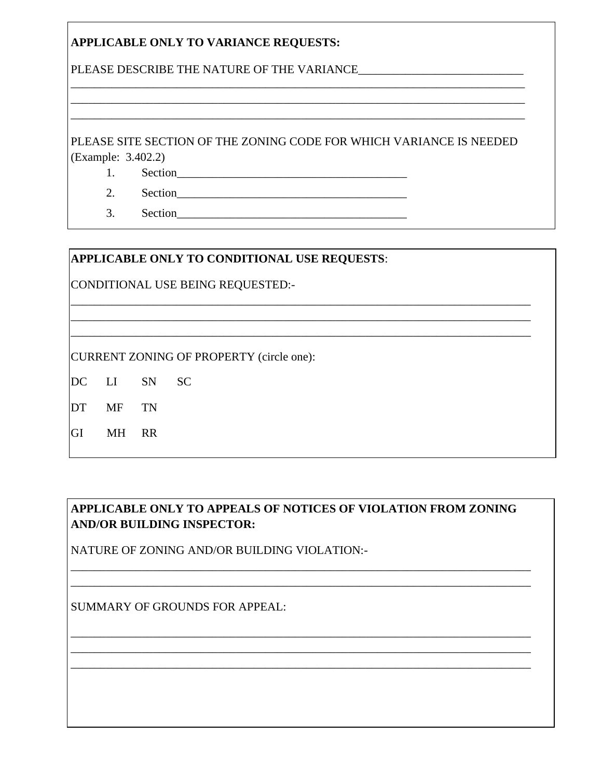# **APPLICABLE ONLY TO VARIANCE REQUESTS:**

PLEASE DESCRIBE THE NATURE OF THE VARIANCE

PLEASE SITE SECTION OF THE ZONING CODE FOR WHICH VARIANCE IS NEEDED (Example: 3.402.2)

Section <u>and</u> 1.

 $2.$ Section

Section  $3.$ 

# APPLICABLE ONLY TO CONDITIONAL USE REQUESTS:

CONDITIONAL USE BEING REQUESTED:-

**CURRENT ZONING OF PROPERTY (circle one):** 

- DC LI SN **SC**
- DT MF TN
- GI MH RR

# APPLICABLE ONLY TO APPEALS OF NOTICES OF VIOLATION FROM ZONING **AND/OR BUILDING INSPECTOR:**

NATURE OF ZONING AND/OR BUILDING VIOLATION:-

**SUMMARY OF GROUNDS FOR APPEAL:**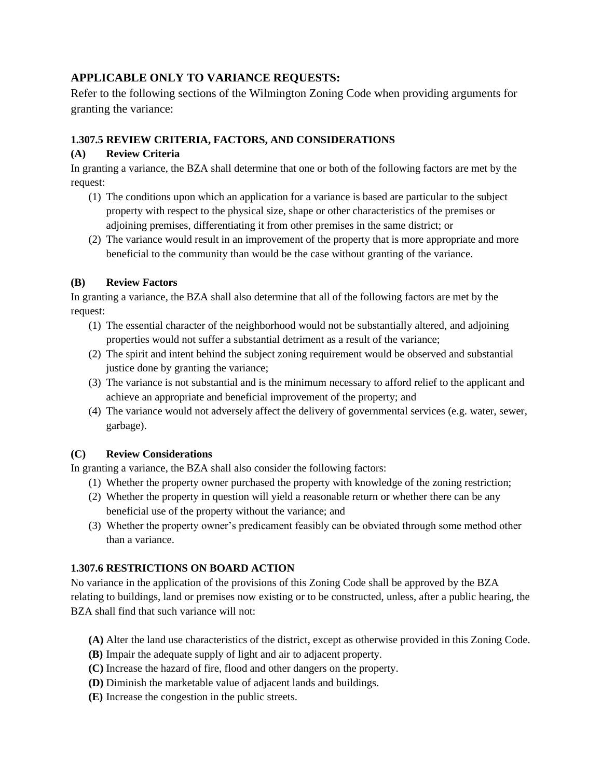# **APPLICABLE ONLY TO VARIANCE REQUESTS:**

Refer to the following sections of the Wilmington Zoning Code when providing arguments for granting the variance:

#### **1.307.5 REVIEW CRITERIA, FACTORS, AND CONSIDERATIONS**

#### **(A) Review Criteria**

In granting a variance, the BZA shall determine that one or both of the following factors are met by the request:

- (1) The conditions upon which an application for a variance is based are particular to the subject property with respect to the physical size, shape or other characteristics of the premises or adjoining premises, differentiating it from other premises in the same district; or
- (2) The variance would result in an improvement of the property that is more appropriate and more beneficial to the community than would be the case without granting of the variance.

#### **(B) Review Factors**

In granting a variance, the BZA shall also determine that all of the following factors are met by the request:

- (1) The essential character of the neighborhood would not be substantially altered, and adjoining properties would not suffer a substantial detriment as a result of the variance;
- (2) The spirit and intent behind the subject zoning requirement would be observed and substantial justice done by granting the variance;
- (3) The variance is not substantial and is the minimum necessary to afford relief to the applicant and achieve an appropriate and beneficial improvement of the property; and
- (4) The variance would not adversely affect the delivery of governmental services (e.g. water, sewer, garbage).

### **(C) Review Considerations**

In granting a variance, the BZA shall also consider the following factors:

- (1) Whether the property owner purchased the property with knowledge of the zoning restriction;
- (2) Whether the property in question will yield a reasonable return or whether there can be any beneficial use of the property without the variance; and
- (3) Whether the property owner's predicament feasibly can be obviated through some method other than a variance.

### **1.307.6 RESTRICTIONS ON BOARD ACTION**

No variance in the application of the provisions of this Zoning Code shall be approved by the BZA relating to buildings, land or premises now existing or to be constructed, unless, after a public hearing, the BZA shall find that such variance will not:

- **(A)** Alter the land use characteristics of the district, except as otherwise provided in this Zoning Code.
- **(B)** Impair the adequate supply of light and air to adjacent property.
- **(C)** Increase the hazard of fire, flood and other dangers on the property.
- **(D)** Diminish the marketable value of adjacent lands and buildings.
- **(E)** Increase the congestion in the public streets.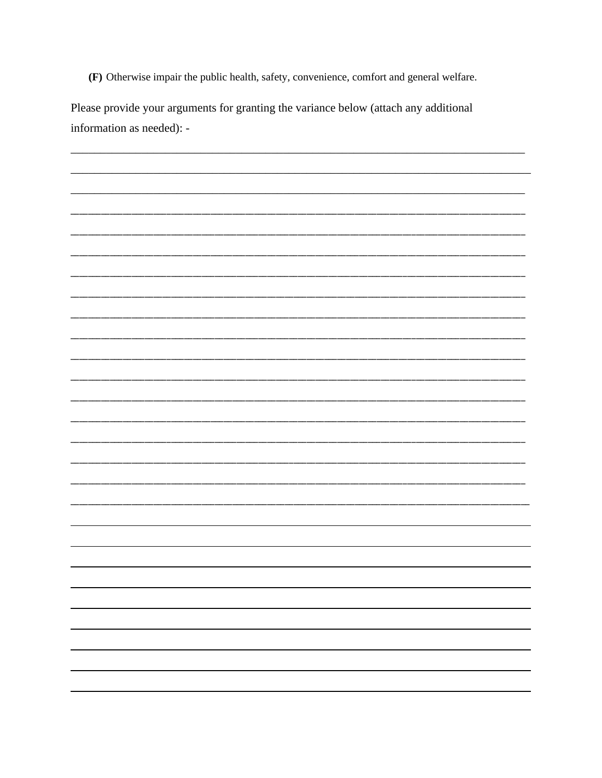(F) Otherwise impair the public health, safety, convenience, comfort and general welfare.

Please provide your arguments for granting the variance below (attach any additional information as needed): -

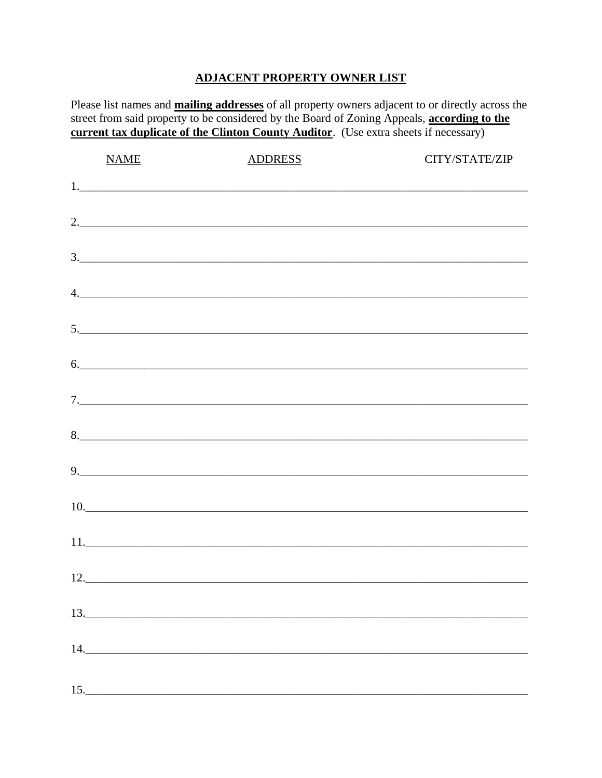# **ADJACENT PROPERTY OWNER LIST**

Please list names and **mailing addresses** of all property owners adjacent to or directly across the street from said property to be considered by the Board of Zoning Appeals, according to the current tax duplicate of the Clinton County Auditor. (Use extra sheets if necessary)

|     | <b>NAME</b> | <b>ADDRESS</b>                 | CITY/STATE/ZIP |
|-----|-------------|--------------------------------|----------------|
|     |             |                                |                |
|     |             | 2.                             |                |
|     |             | $\frac{3}{2}$                  |                |
|     |             | 4.                             |                |
|     |             |                                |                |
|     |             | 6.                             |                |
|     |             |                                |                |
|     |             |                                |                |
|     |             | 9.                             |                |
|     |             | 10.                            |                |
|     |             |                                |                |
|     |             | $12.$ $\overline{\phantom{a}}$ |                |
|     |             |                                |                |
|     | 14.         |                                |                |
| 15. |             |                                |                |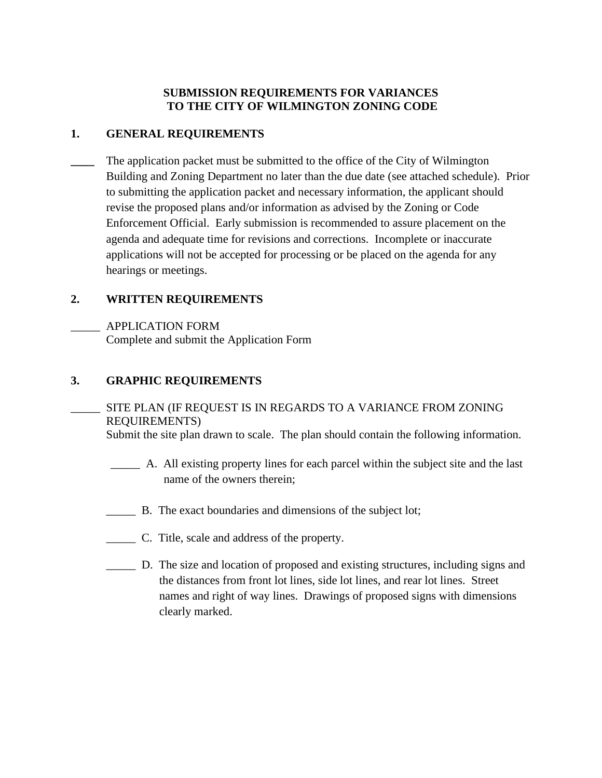### **SUBMISSION REQUIREMENTS FOR VARIANCES TO THE CITY OF WILMINGTON ZONING CODE**

## **1. GENERAL REQUIREMENTS**

The application packet must be submitted to the office of the City of Wilmington Building and Zoning Department no later than the due date (see attached schedule). Prior to submitting the application packet and necessary information, the applicant should revise the proposed plans and/or information as advised by the Zoning or Code Enforcement Official. Early submission is recommended to assure placement on the agenda and adequate time for revisions and corrections. Incomplete or inaccurate applications will not be accepted for processing or be placed on the agenda for any hearings or meetings.

# **2. WRITTEN REQUIREMENTS**

\_\_\_\_\_ APPLICATION FORM Complete and submit the Application Form

# **3. GRAPHIC REQUIREMENTS**

SITE PLAN (IF REQUEST IS IN REGARDS TO A VARIANCE FROM ZONING REQUIREMENTS)

Submit the site plan drawn to scale. The plan should contain the following information.

- \_\_\_\_\_ A. All existing property lines for each parcel within the subject site and the last name of the owners therein;
- B. The exact boundaries and dimensions of the subject lot;
- \_\_\_\_\_ C. Title, scale and address of the property.
- \_\_\_\_\_ D. The size and location of proposed and existing structures, including signs and the distances from front lot lines, side lot lines, and rear lot lines. Street names and right of way lines. Drawings of proposed signs with dimensions clearly marked.